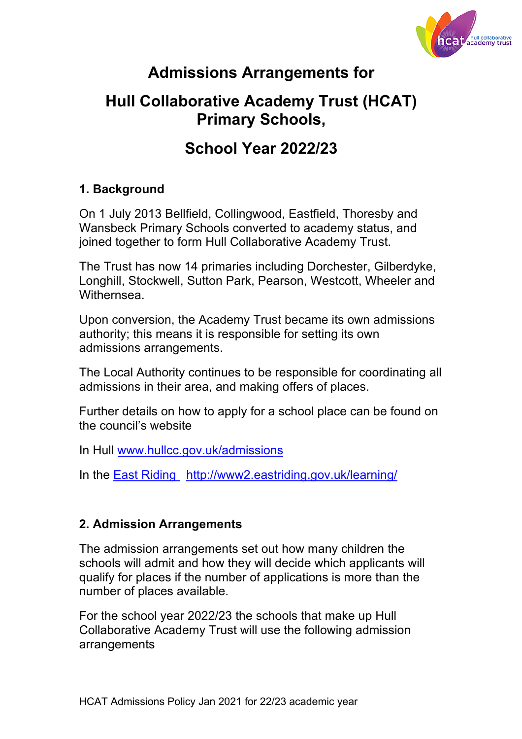

# **Admissions Arrangements for**

## **Hull Collaborative Academy Trust (HCAT) Primary Schools,**

## **School Year 2022/23**

### **1. Background**

On 1 July 2013 Bellfield, Collingwood, Eastfield, Thoresby and Wansbeck Primary Schools converted to academy status, and joined together to form Hull Collaborative Academy Trust.

The Trust has now 14 primaries including Dorchester, Gilberdyke, Longhill, Stockwell, Sutton Park, Pearson, Westcott, Wheeler and Withernsea.

Upon conversion, the Academy Trust became its own admissions authority; this means it is responsible for setting its own admissions arrangements.

The Local Authority continues to be responsible for coordinating all admissions in their area, and making offers of places.

Further details on how to apply for a school place can be found on the council's website

In Hull www.hullcc.gov.uk/admissions

In the East Riding http://www2.eastriding.gov.uk/learning/

#### **2. Admission Arrangements**

The admission arrangements set out how many children the schools will admit and how they will decide which applicants will qualify for places if the number of applications is more than the number of places available.

For the school year 2022/23 the schools that make up Hull Collaborative Academy Trust will use the following admission arrangements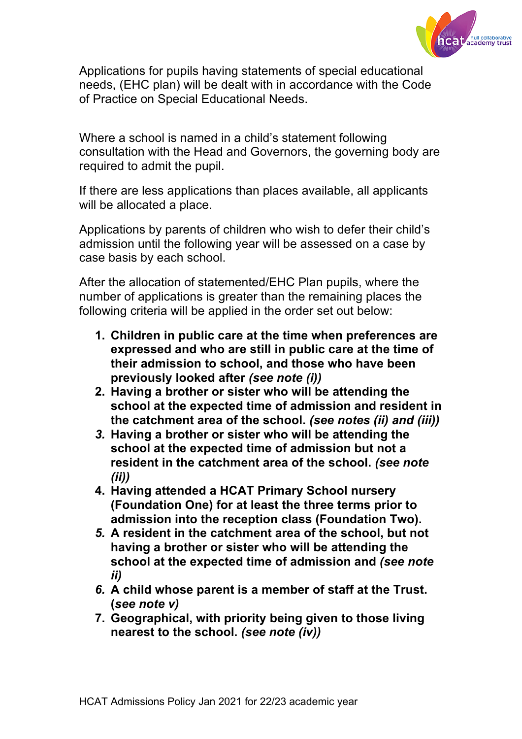

Applications for pupils having statements of special educational needs, (EHC plan) will be dealt with in accordance with the Code of Practice on Special Educational Needs.

Where a school is named in a child's statement following consultation with the Head and Governors, the governing body are required to admit the pupil.

If there are less applications than places available, all applicants will be allocated a place.

Applications by parents of children who wish to defer their child's admission until the following year will be assessed on a case by case basis by each school.

After the allocation of statemented/EHC Plan pupils, where the number of applications is greater than the remaining places the following criteria will be applied in the order set out below:

- **1. Children in public care at the time when preferences are expressed and who are still in public care at the time of their admission to school, and those who have been previously looked after** *(see note (i))*
- **2. Having a brother or sister who will be attending the school at the expected time of admission and resident in the catchment area of the school.** *(see notes (ii) and (iii))*
- *3.* **Having a brother or sister who will be attending the school at the expected time of admission but not a resident in the catchment area of the school.** *(see note (ii))*
- **4. Having attended a HCAT Primary School nursery (Foundation One) for at least the three terms prior to admission into the reception class (Foundation Two).**
- *5.* **A resident in the catchment area of the school, but not having a brother or sister who will be attending the school at the expected time of admission and** *(see note ii)*
- *6.* **A child whose parent is a member of staff at the Trust. (***see note v)*
- **7. Geographical, with priority being given to those living nearest to the school.** *(see note (iv))*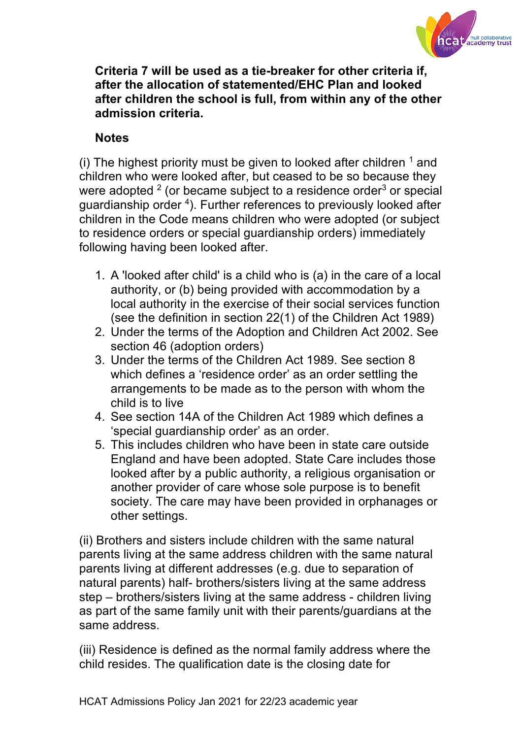

**Criteria 7 will be used as a tie-breaker for other criteria if, after the allocation of statemented/EHC Plan and looked after children the school is full, from within any of the other admission criteria.** 

### **Notes**

(i) The highest priority must be given to looked after children  $<sup>1</sup>$  and</sup> children who were looked after, but ceased to be so because they were adopted  $2$  (or became subject to a residence order $3$  or special guardianship order <sup>4</sup>). Further references to previously looked after children in the Code means children who were adopted (or subject to residence orders or special guardianship orders) immediately following having been looked after.

- 1. A 'looked after child' is a child who is (a) in the care of a local authority, or (b) being provided with accommodation by a local authority in the exercise of their social services function (see the definition in section 22(1) of the Children Act 1989)
- 2. Under the terms of the Adoption and Children Act 2002. See section 46 (adoption orders)
- 3. Under the terms of the Children Act 1989. See section 8 which defines a 'residence order' as an order settling the arrangements to be made as to the person with whom the child is to live
- 4. See section 14A of the Children Act 1989 which defines a 'special guardianship order' as an order.
- 5. This includes children who have been in state care outside England and have been adopted. State Care includes those looked after by a public authority, a religious organisation or another provider of care whose sole purpose is to benefit society. The care may have been provided in orphanages or other settings.

(ii) Brothers and sisters include children with the same natural parents living at the same address children with the same natural parents living at different addresses (e.g. due to separation of natural parents) half- brothers/sisters living at the same address step – brothers/sisters living at the same address - children living as part of the same family unit with their parents/guardians at the same address.

(iii) Residence is defined as the normal family address where the child resides. The qualification date is the closing date for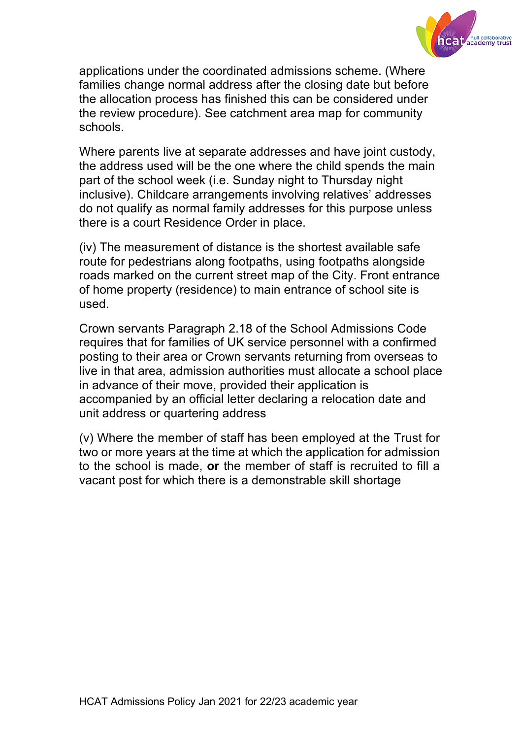

applications under the coordinated admissions scheme. (Where families change normal address after the closing date but before the allocation process has finished this can be considered under the review procedure). See catchment area map for community schools.

Where parents live at separate addresses and have joint custody, the address used will be the one where the child spends the main part of the school week (i.e. Sunday night to Thursday night inclusive). Childcare arrangements involving relatives' addresses do not qualify as normal family addresses for this purpose unless there is a court Residence Order in place.

(iv) The measurement of distance is the shortest available safe route for pedestrians along footpaths, using footpaths alongside roads marked on the current street map of the City. Front entrance of home property (residence) to main entrance of school site is used.

Crown servants Paragraph 2.18 of the School Admissions Code requires that for families of UK service personnel with a confirmed posting to their area or Crown servants returning from overseas to live in that area, admission authorities must allocate a school place in advance of their move, provided their application is accompanied by an official letter declaring a relocation date and unit address or quartering address

(v) Where the member of staff has been employed at the Trust for two or more years at the time at which the application for admission to the school is made, **or** the member of staff is recruited to fill a vacant post for which there is a demonstrable skill shortage